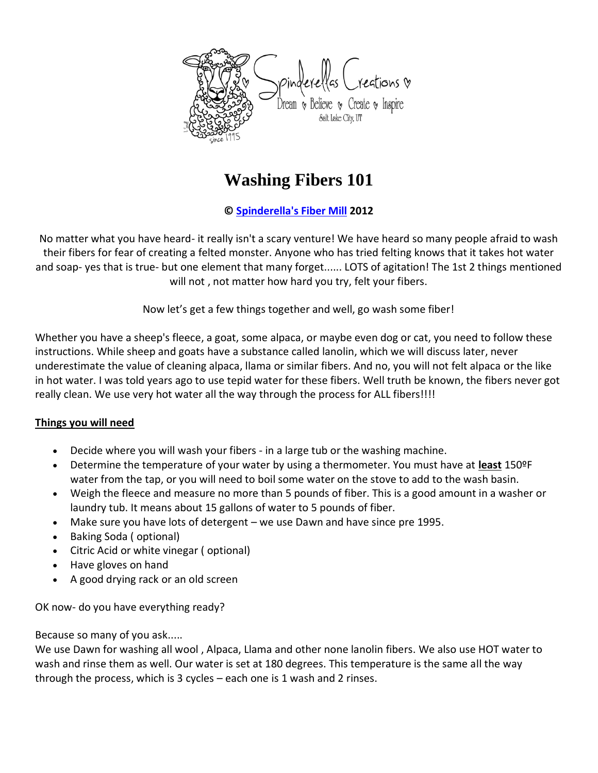

# **Washing Fibers 101**

## **© [Spinderella's Fiber Mill](http://www.spinderellas.com/) 2012**

No matter what you have heard- it really isn't a scary venture! We have heard so many people afraid to wash their fibers for fear of creating a felted monster. Anyone who has tried felting knows that it takes hot water and soap- yes that is true- but one element that many forget...... LOTS of agitation! The 1st 2 things mentioned will not , not matter how hard you try, felt your fibers.

Now let's get a few things together and well, go wash some fiber!

Whether you have a sheep's fleece, a goat, some alpaca, or maybe even dog or cat, you need to follow these instructions. While sheep and goats have a substance called lanolin, which we will discuss later, never underestimate the value of cleaning alpaca, llama or similar fibers. And no, you will not felt alpaca or the like in hot water. I was told years ago to use tepid water for these fibers. Well truth be known, the fibers never got really clean. We use very hot water all the way through the process for ALL fibers!!!!

### **Things you will need**

- Decide where you will wash your fibers in a large tub or the washing machine.
- Determine the temperature of your water by using a thermometer. You must have at **least** 150ºF water from the tap, or you will need to boil some water on the stove to add to the wash basin.
- Weigh the fleece and measure no more than 5 pounds of fiber. This is a good amount in a washer or laundry tub. It means about 15 gallons of water to 5 pounds of fiber.
- Make sure you have lots of detergent we use Dawn and have since pre 1995.
- Baking Soda ( optional)
- Citric Acid or white vinegar ( optional)
- Have gloves on hand
- A good drying rack or an old screen

OK now- do you have everything ready?

Because so many of you ask.....

We use Dawn for washing all wool , Alpaca, Llama and other none lanolin fibers. We also use HOT water to wash and rinse them as well. Our water is set at 180 degrees. This temperature is the same all the way through the process, which is 3 cycles – each one is 1 wash and 2 rinses.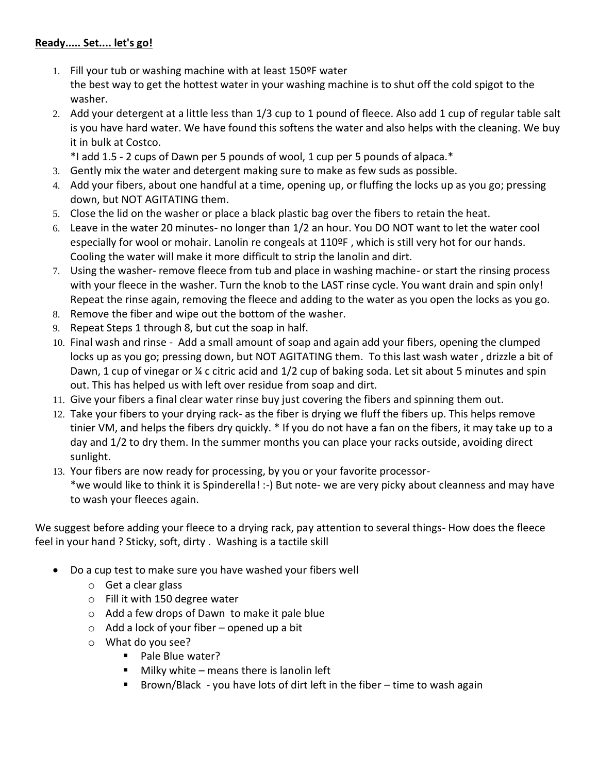## **Ready..... Set.... let's go!**

- 1. Fill your tub or washing machine with at least 150ºF water the best way to get the hottest water in your washing machine is to shut off the cold spigot to the washer.
- 2. Add your detergent at a little less than 1/3 cup to 1 pound of fleece. Also add 1 cup of regular table salt is you have hard water. We have found this softens the water and also helps with the cleaning. We buy it in bulk at Costco.

\*I add 1.5 - 2 cups of Dawn per 5 pounds of wool, 1 cup per 5 pounds of alpaca.\*

- 3. Gently mix the water and detergent making sure to make as few suds as possible.
- 4. Add your fibers, about one handful at a time, opening up, or fluffing the locks up as you go; pressing down, but NOT AGITATING them.
- 5. Close the lid on the washer or place a black plastic bag over the fibers to retain the heat.
- 6. Leave in the water 20 minutes- no longer than 1/2 an hour. You DO NOT want to let the water cool especially for wool or mohair. Lanolin re congeals at 110ºF , which is still very hot for our hands. Cooling the water will make it more difficult to strip the lanolin and dirt.
- 7. Using the washer- remove fleece from tub and place in washing machine- or start the rinsing process with your fleece in the washer. Turn the knob to the LAST rinse cycle. You want drain and spin only! Repeat the rinse again, removing the fleece and adding to the water as you open the locks as you go.
- 8. Remove the fiber and wipe out the bottom of the washer.
- 9. Repeat Steps 1 through 8, but cut the soap in half.
- 10. Final wash and rinse Add a small amount of soap and again add your fibers, opening the clumped locks up as you go; pressing down, but NOT AGITATING them. To this last wash water , drizzle a bit of Dawn, 1 cup of vinegar or ¼ c citric acid and 1/2 cup of baking soda. Let sit about 5 minutes and spin out. This has helped us with left over residue from soap and dirt.
- 11. Give your fibers a final clear water rinse buy just covering the fibers and spinning them out.
- 12. Take your fibers to your drying rack- as the fiber is drying we fluff the fibers up. This helps remove tinier VM, and helps the fibers dry quickly. \* If you do not have a fan on the fibers, it may take up to a day and 1/2 to dry them. In the summer months you can place your racks outside, avoiding direct sunlight.
- 13. Your fibers are now ready for processing, by you or your favorite processor- \*we would like to think it is Spinderella! :-) But note- we are very picky about cleanness and may have to wash your fleeces again.

We suggest before adding your fleece to a drying rack, pay attention to several things- How does the fleece feel in your hand ? Sticky, soft, dirty . Washing is a tactile skill

- Do a cup test to make sure you have washed your fibers well
	- o Get a clear glass
	- o Fill it with 150 degree water
	- o Add a few drops of Dawn to make it pale blue
	- $\circ$  Add a lock of your fiber opened up a bit
	- o What do you see?
		- Pale Blue water?
		- $\blacksquare$  Milky white means there is lanolin left
		- **Brown/Black** you have lots of dirt left in the fiber time to wash again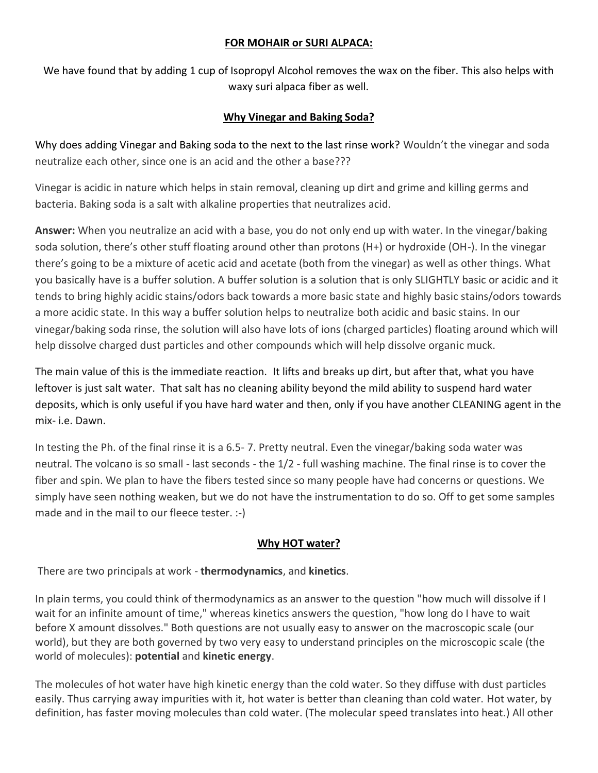#### **FOR MOHAIR or SURI ALPACA:**

We have found that by adding 1 cup of Isopropyl Alcohol removes the wax on the fiber. This also helps with waxy suri alpaca fiber as well.

## **Why Vinegar and Baking Soda?**

Why does adding Vinegar and Baking soda to the next to the last rinse work? Wouldn't the vinegar and soda neutralize each other, since one is an acid and the other a base???

Vinegar is acidic in nature which helps in stain removal, cleaning up dirt and grime and killing germs and bacteria. Baking soda is a salt with alkaline properties that neutralizes acid.

**Answer:** When you neutralize an acid with a base, you do not only end up with water. In the vinegar/baking soda solution, there's other stuff floating around other than protons (H+) or hydroxide (OH-). In the vinegar there's going to be a mixture of acetic acid and acetate (both from the vinegar) as well as other things. What you basically have is a buffer solution. A buffer solution is a solution that is only SLIGHTLY basic or acidic and it tends to bring highly acidic stains/odors back towards a more basic state and highly basic stains/odors towards a more acidic state. In this way a buffer solution helps to neutralize both acidic and basic stains. In our vinegar/baking soda rinse, the solution will also have lots of ions (charged particles) floating around which will help dissolve charged dust particles and other compounds which will help dissolve organic muck.

The main value of this is the immediate reaction. It lifts and breaks up dirt, but after that, what you have leftover is just salt water. That salt has no cleaning ability beyond the mild ability to suspend hard water deposits, which is only useful if you have hard water and then, only if you have another CLEANING agent in the mix- i.e. Dawn.

In testing the Ph. of the final rinse it is a 6.5- 7. Pretty neutral. Even the vinegar/baking soda water was neutral. The volcano is so small - last seconds - the 1/2 - full washing machine. The final rinse is to cover the fiber and spin. We plan to have the fibers tested since so many people have had concerns or questions. We simply have seen nothing weaken, but we do not have the instrumentation to do so. Off to get some samples made and in the mail to our fleece tester. :-)

# **Why HOT water?**

There are two principals at work - **thermodynamics**, and **kinetics**.

In plain terms, you could think of thermodynamics as an answer to the question "how much will dissolve if I wait for an infinite amount of time," whereas kinetics answers the question, "how long do I have to wait before X amount dissolves." Both questions are not usually easy to answer on the macroscopic scale (our world), but they are both governed by two very easy to understand principles on the microscopic scale (the world of molecules): **potential** and **kinetic energy**.

The molecules of hot water have high kinetic energy than the cold water. So they diffuse with dust particles easily. Thus carrying away impurities with it, hot water is better than cleaning than cold water. Hot water, by definition, has faster moving molecules than cold water. (The molecular speed translates into heat.) All other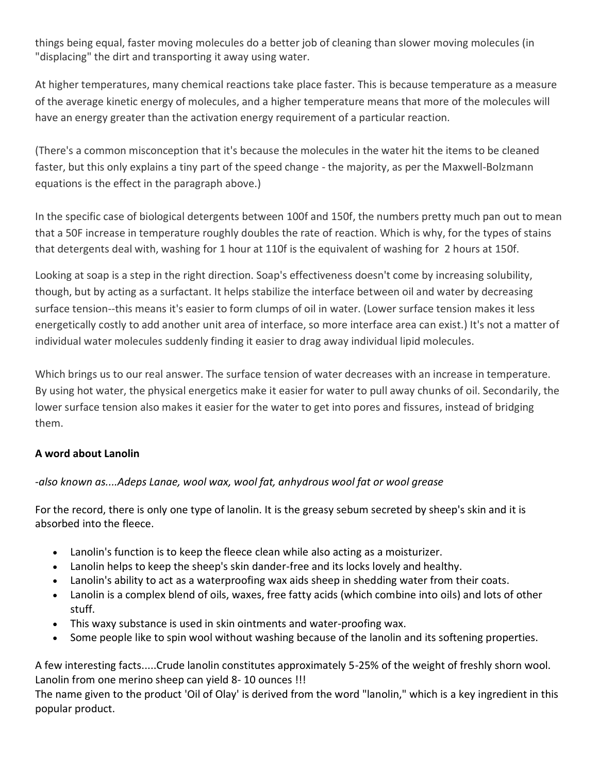things being equal, faster moving molecules do a better job of cleaning than slower moving molecules (in "displacing" the dirt and transporting it away using water.

At higher temperatures, many chemical reactions take place faster. This is because temperature as a measure of the average kinetic energy of molecules, and a higher temperature means that more of the molecules will have an energy greater than the activation energy requirement of a particular reaction.

(There's a common misconception that it's because the molecules in the water hit the items to be cleaned faster, but this only explains a tiny part of the speed change - the majority, as per the Maxwell-Bolzmann equations is the effect in the paragraph above.)

In the specific case of biological detergents between 100f and 150f, the numbers pretty much pan out to mean that a 50F increase in temperature roughly doubles the rate of reaction. Which is why, for the types of stains that detergents deal with, washing for 1 hour at 110f is the equivalent of washing for 2 hours at 150f.

Looking at soap is a step in the right direction. Soap's effectiveness doesn't come by increasing solubility, though, but by acting as a surfactant. It helps stabilize the interface between oil and water by decreasing surface tension--this means it's easier to form clumps of oil in water. (Lower surface tension makes it less energetically costly to add another unit area of interface, so more interface area can exist.) It's not a matter of individual water molecules suddenly finding it easier to drag away individual lipid molecules.

Which brings us to our real answer. The surface tension of water decreases with an increase in temperature. By using hot water, the physical energetics make it easier for water to pull away chunks of oil. Secondarily, the lower surface tension also makes it easier for the water to get into pores and fissures, instead of bridging them.

# **A word about Lanolin**

# *-also known as....Adeps Lanae, wool wax, wool fat, anhydrous wool fat or wool grease*

For the record, there is only one type of lanolin. It is the greasy sebum secreted by sheep's skin and it is absorbed into the fleece.

- Lanolin's function is to keep the fleece clean while also acting as a moisturizer.
- Lanolin helps to keep the sheep's skin dander-free and its locks lovely and healthy.
- Lanolin's ability to act as a waterproofing wax aids sheep in shedding water from their coats.
- Lanolin is a complex blend of oils, waxes, free fatty acids (which combine into oils) and lots of other stuff.
- This waxy substance is used in skin ointments and water-proofing wax.
- Some people like to spin wool without washing because of the lanolin and its softening properties.

A few interesting facts.....Crude lanolin constitutes approximately 5-25% of the weight of freshly shorn wool. Lanolin from one merino sheep can yield 8- 10 ounces !!!

The name given to the product 'Oil of Olay' is derived from the word "lanolin," which is a key ingredient in this popular product.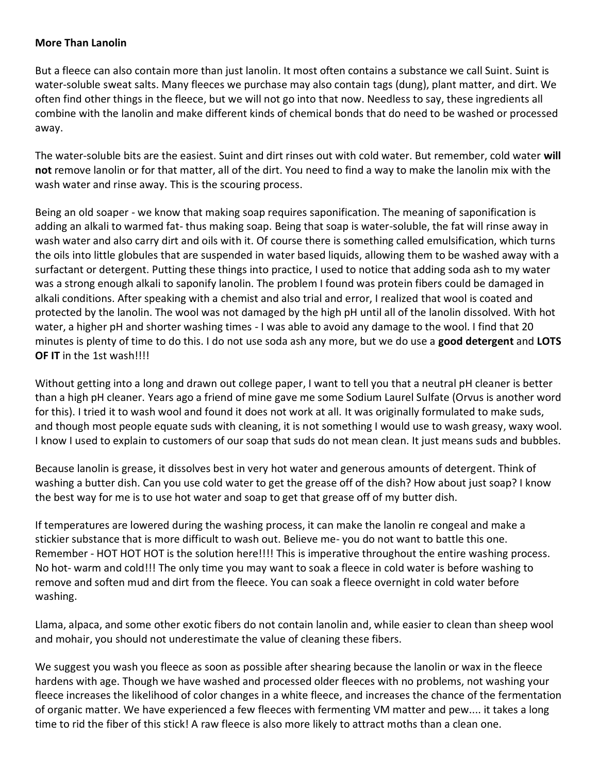#### **More Than Lanolin**

But a fleece can also contain more than just lanolin. It most often contains a substance we call Suint. Suint is water-soluble sweat salts. Many fleeces we purchase may also contain tags (dung), plant matter, and dirt. We often find other things in the fleece, but we will not go into that now. Needless to say, these ingredients all combine with the lanolin and make different kinds of chemical bonds that do need to be washed or processed away.

The water-soluble bits are the easiest. Suint and dirt rinses out with cold water. But remember, cold water **will not** remove lanolin or for that matter, all of the dirt. You need to find a way to make the lanolin mix with the wash water and rinse away. This is the scouring process.

Being an old soaper - we know that making soap requires saponification. The meaning of saponification is adding an alkali to warmed fat- thus making soap. Being that soap is water-soluble, the fat will rinse away in wash water and also carry dirt and oils with it. Of course there is something called emulsification, which turns the oils into little globules that are suspended in water based liquids, allowing them to be washed away with a surfactant or detergent. Putting these things into practice, I used to notice that adding soda ash to my water was a strong enough alkali to saponify lanolin. The problem I found was protein fibers could be damaged in alkali conditions. After speaking with a chemist and also trial and error, I realized that wool is coated and protected by the lanolin. The wool was not damaged by the high pH until all of the lanolin dissolved. With hot water, a higher pH and shorter washing times - I was able to avoid any damage to the wool. I find that 20 minutes is plenty of time to do this. I do not use soda ash any more, but we do use a **good detergent** and **LOTS OF IT** in the 1st wash!!!!

Without getting into a long and drawn out college paper, I want to tell you that a neutral pH cleaner is better than a high pH cleaner. Years ago a friend of mine gave me some Sodium Laurel Sulfate (Orvus is another word for this). I tried it to wash wool and found it does not work at all. It was originally formulated to make suds, and though most people equate suds with cleaning, it is not something I would use to wash greasy, waxy wool. I know I used to explain to customers of our soap that suds do not mean clean. It just means suds and bubbles.

Because lanolin is grease, it dissolves best in very hot water and generous amounts of detergent. Think of washing a butter dish. Can you use cold water to get the grease off of the dish? How about just soap? I know the best way for me is to use hot water and soap to get that grease off of my butter dish.

If temperatures are lowered during the washing process, it can make the lanolin re congeal and make a stickier substance that is more difficult to wash out. Believe me- you do not want to battle this one. Remember - HOT HOT HOT is the solution here!!!! This is imperative throughout the entire washing process. No hot- warm and cold!!! The only time you may want to soak a fleece in cold water is before washing to remove and soften mud and dirt from the fleece. You can soak a fleece overnight in cold water before washing.

Llama, alpaca, and some other exotic fibers do not contain lanolin and, while easier to clean than sheep wool and mohair, you should not underestimate the value of cleaning these fibers.

We suggest you wash you fleece as soon as possible after shearing because the lanolin or wax in the fleece hardens with age. Though we have washed and processed older fleeces with no problems, not washing your fleece increases the likelihood of color changes in a white fleece, and increases the chance of the fermentation of organic matter. We have experienced a few fleeces with fermenting VM matter and pew.... it takes a long time to rid the fiber of this stick! A raw fleece is also more likely to attract moths than a clean one.